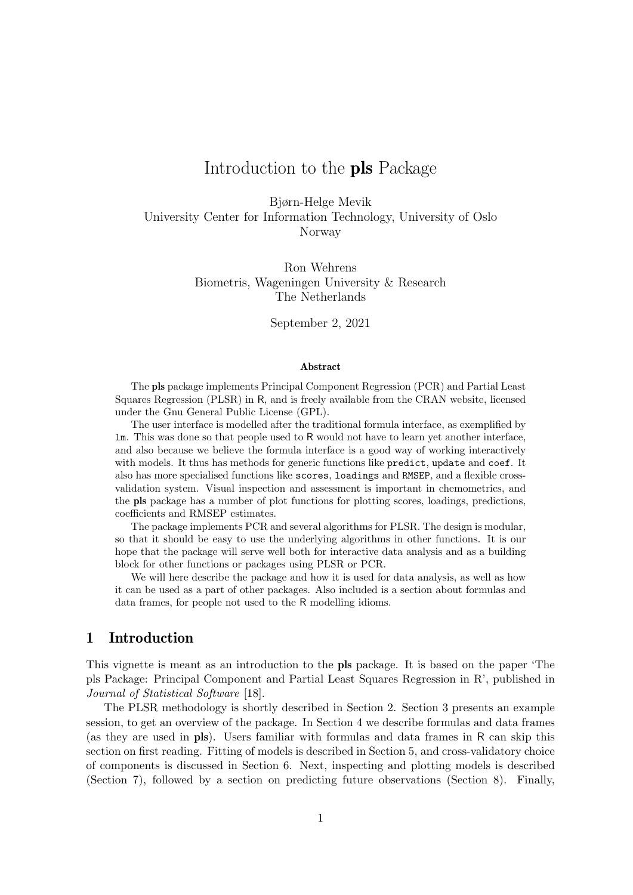# Introduction to the pls Package

Bjørn-Helge Mevik University Center for Information Technology, University of Oslo Norway

> Ron Wehrens Biometris, Wageningen University & Research The Netherlands

> > September 2, 2021

#### Abstract

The pls package implements Principal Component Regression (PCR) and Partial Least Squares Regression (PLSR) in R, and is freely available from the CRAN website, licensed under the Gnu General Public License (GPL).

The user interface is modelled after the traditional formula interface, as exemplified by lm. This was done so that people used to R would not have to learn yet another interface, and also because we believe the formula interface is a good way of working interactively with models. It thus has methods for generic functions like predict, update and coef. It also has more specialised functions like scores, loadings and RMSEP, and a flexible crossvalidation system. Visual inspection and assessment is important in chemometrics, and the pls package has a number of plot functions for plotting scores, loadings, predictions, coefficients and RMSEP estimates.

The package implements PCR and several algorithms for PLSR. The design is modular, so that it should be easy to use the underlying algorithms in other functions. It is our hope that the package will serve well both for interactive data analysis and as a building block for other functions or packages using PLSR or PCR.

We will here describe the package and how it is used for data analysis, as well as how it can be used as a part of other packages. Also included is a section about formulas and data frames, for people not used to the R modelling idioms.

# 1 Introduction

This vignette is meant as an introduction to the pls package. It is based on the paper 'The pls Package: Principal Component and Partial Least Squares Regression in R', published in Journal of Statistical Software [18].

The PLSR methodology is shortly described in Section 2. Section 3 presents an example session, to get an overview of the package. In Section 4 we describe formulas and data frames (as they are used in pls). Users familiar with formulas and data frames in R can skip this section on first reading. Fitting of models is described in Section 5, and cross-validatory choice of components is discussed in Section 6. Next, inspecting and plotting models is described (Section 7), followed by a section on predicting future observations (Section 8). Finally,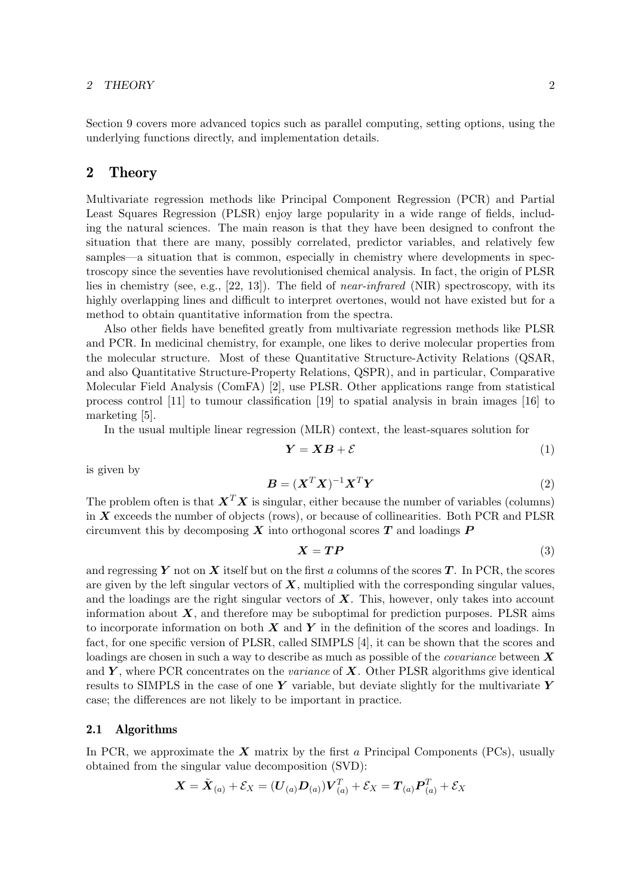### 2 THEORY 2

Section 9 covers more advanced topics such as parallel computing, setting options, using the underlying functions directly, and implementation details.

# 2 Theory

Multivariate regression methods like Principal Component Regression (PCR) and Partial Least Squares Regression (PLSR) enjoy large popularity in a wide range of fields, including the natural sciences. The main reason is that they have been designed to confront the situation that there are many, possibly correlated, predictor variables, and relatively few samples—a situation that is common, especially in chemistry where developments in spectroscopy since the seventies have revolutionised chemical analysis. In fact, the origin of PLSR lies in chemistry (see, e.g., [22, 13]). The field of near-infrared (NIR) spectroscopy, with its highly overlapping lines and difficult to interpret overtones, would not have existed but for a method to obtain quantitative information from the spectra.

Also other fields have benefited greatly from multivariate regression methods like PLSR and PCR. In medicinal chemistry, for example, one likes to derive molecular properties from the molecular structure. Most of these Quantitative Structure-Activity Relations (QSAR, and also Quantitative Structure-Property Relations, QSPR), and in particular, Comparative Molecular Field Analysis (ComFA) [2], use PLSR. Other applications range from statistical process control [11] to tumour classification [19] to spatial analysis in brain images [16] to marketing [5].

In the usual multiple linear regression (MLR) context, the least-squares solution for

$$
Y = XB + \mathcal{E} \tag{1}
$$

is given by

$$
\mathbf{B} = (\mathbf{X}^T \mathbf{X})^{-1} \mathbf{X}^T \mathbf{Y} \tag{2}
$$

The problem often is that  $X^T X$  is singular, either because the number of variables (columns) in  $X$  exceeds the number of objects (rows), or because of collinearities. Both PCR and PLSR circumvent this by decomposing  $X$  into orthogonal scores  $T$  and loadings  $P$ 

$$
X = TP \tag{3}
$$

and regressing Y not on X itself but on the first a columns of the scores T. In PCR, the scores are given by the left singular vectors of  $\boldsymbol{X}$ , multiplied with the corresponding singular values, and the loadings are the right singular vectors of  $\boldsymbol{X}$ . This, however, only takes into account information about  $\boldsymbol{X}$ , and therefore may be suboptimal for prediction purposes. PLSR aims to incorporate information on both  $X$  and  $Y$  in the definition of the scores and loadings. In fact, for one specific version of PLSR, called SIMPLS [4], it can be shown that the scores and loadings are chosen in such a way to describe as much as possible of the *covariance* between  $\boldsymbol{X}$ and Y, where PCR concentrates on the variance of  $X$ . Other PLSR algorithms give identical results to SIMPLS in the case of one Y variable, but deviate slightly for the multivariate Y case; the differences are not likely to be important in practice.

### 2.1 Algorithms

In PCR, we approximate the  $X$  matrix by the first a Principal Components (PCs), usually obtained from the singular value decomposition (SVD):

$$
\boldsymbol{X} = \tilde{\boldsymbol{X}}_{(a)} + \mathcal{E}_X = (\boldsymbol{U}_{(a)} \boldsymbol{D}_{(a)}) \boldsymbol{V}_{(a)}^T + \mathcal{E}_X = \boldsymbol{T}_{(a)} \boldsymbol{P}_{(a)}^T + \mathcal{E}_X
$$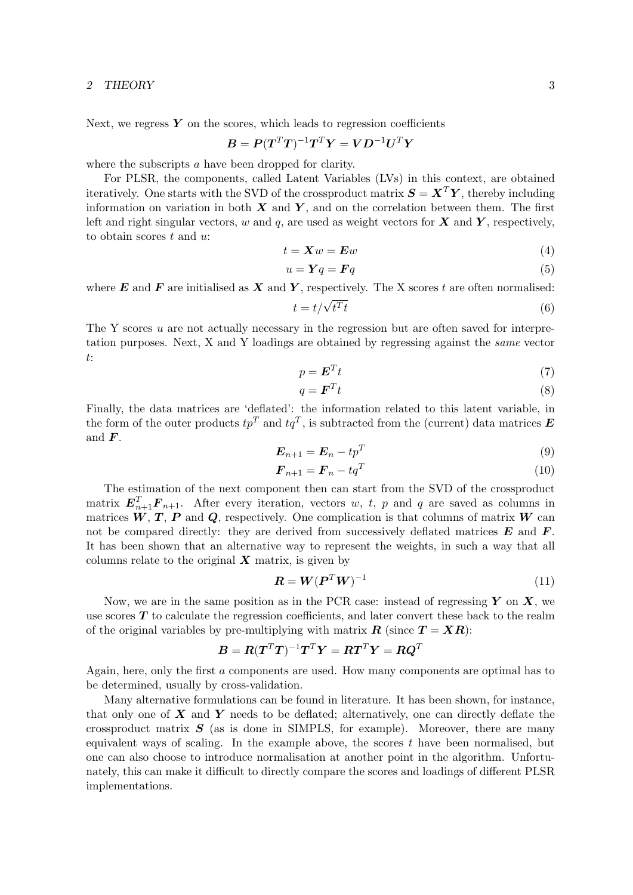#### 2 THEORY 3

Next, we regress  $Y$  on the scores, which leads to regression coefficients

$$
\boldsymbol{B} = \boldsymbol{P}(\boldsymbol{T}^T\boldsymbol{T})^{-1}\boldsymbol{T}^T\boldsymbol{Y} = \boldsymbol{V}\boldsymbol{D}^{-1}\boldsymbol{U}^T\boldsymbol{Y}
$$

where the subscripts a have been dropped for clarity.

For PLSR, the components, called Latent Variables (LVs) in this context, are obtained iteratively. One starts with the SVD of the crossproduct matrix  $\mathbf{S} = \mathbf{X}^T \mathbf{Y}$ , thereby including information on variation in both  $X$  and  $Y$ , and on the correlation between them. The first left and right singular vectors, w and q, are used as weight vectors for  $X$  and  $Y$ , respectively, to obtain scores  $t$  and  $u$ :

$$
t = \mathbf{X}w = \mathbf{E}w \tag{4}
$$

$$
u = \mathbf{Y}q = \mathbf{F}q \tag{5}
$$

where  $E$  and  $F$  are initialised as  $X$  and  $Y$ , respectively. The X scores t are often normalised:

$$
t = t/\sqrt{t^T t} \tag{6}
$$

The Y scores u are not actually necessary in the regression but are often saved for interpretation purposes. Next, X and Y loadings are obtained by regressing against the same vector t:

$$
p = \mathbf{E}^T t \tag{7}
$$

$$
q = \boldsymbol{F}^T t \tag{8}
$$

Finally, the data matrices are 'deflated': the information related to this latent variable, in the form of the outer products  $tp^T$  and  $tq^T$ , is subtracted from the (current) data matrices  $\boldsymbol{E}$ and  $\boldsymbol{F}$ .

$$
\boldsymbol{E}_{n+1} = \boldsymbol{E}_n - t p^T \tag{9}
$$

$$
\boldsymbol{F}_{n+1} = \boldsymbol{F}_n - t \boldsymbol{q}^T \tag{10}
$$

The estimation of the next component then can start from the SVD of the crossproduct matrix  $E_{n+1}^T \mathbf{F}_{n+1}$ . After every iteration, vectors w, t, p and q are saved as columns in matrices  $W, T, P$  and  $Q$ , respectively. One complication is that columns of matrix  $W$  can not be compared directly: they are derived from successively deflated matrices  $E$  and  $F$ . It has been shown that an alternative way to represent the weights, in such a way that all columns relate to the original  $X$  matrix, is given by

$$
\boldsymbol{R} = \boldsymbol{W}(\boldsymbol{P}^T \boldsymbol{W})^{-1} \tag{11}
$$

Now, we are in the same position as in the PCR case: instead of regressing  $Y$  on  $X$ , we use scores  $T$  to calculate the regression coefficients, and later convert these back to the realm of the original variables by pre-multiplying with matrix  $\mathbf{R}$  (since  $\mathbf{T} = \mathbf{X}\mathbf{R}$ ):

$$
\boldsymbol{B} = \boldsymbol{R}(\boldsymbol{T}^T\boldsymbol{T})^{-1}\boldsymbol{T}^T\boldsymbol{Y} = \boldsymbol{R}\boldsymbol{T}^T\boldsymbol{Y} = \boldsymbol{R}\boldsymbol{Q}^T
$$

Again, here, only the first a components are used. How many components are optimal has to be determined, usually by cross-validation.

Many alternative formulations can be found in literature. It has been shown, for instance, that only one of  $\boldsymbol{X}$  and  $\boldsymbol{Y}$  needs to be deflated; alternatively, one can directly deflate the crossproduct matrix  $S$  (as is done in SIMPLS, for example). Moreover, there are many equivalent ways of scaling. In the example above, the scores  $t$  have been normalised, but one can also choose to introduce normalisation at another point in the algorithm. Unfortunately, this can make it difficult to directly compare the scores and loadings of different PLSR implementations.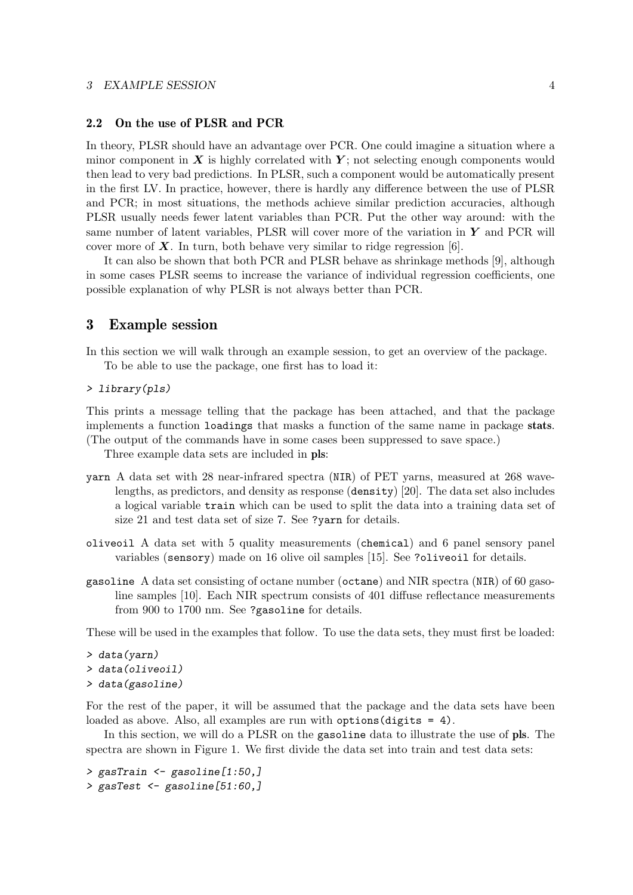### 2.2 On the use of PLSR and PCR

In theory, PLSR should have an advantage over PCR. One could imagine a situation where a minor component in  $X$  is highly correlated with  $Y$ ; not selecting enough components would then lead to very bad predictions. In PLSR, such a component would be automatically present in the first LV. In practice, however, there is hardly any difference between the use of PLSR and PCR; in most situations, the methods achieve similar prediction accuracies, although PLSR usually needs fewer latent variables than PCR. Put the other way around: with the same number of latent variables, PLSR will cover more of the variation in  $\boldsymbol{Y}$  and PCR will cover more of  $\boldsymbol{X}$ . In turn, both behave very similar to ridge regression [6].

It can also be shown that both PCR and PLSR behave as shrinkage methods [9], although in some cases PLSR seems to increase the variance of individual regression coefficients, one possible explanation of why PLSR is not always better than PCR.

# 3 Example session

In this section we will walk through an example session, to get an overview of the package.

To be able to use the package, one first has to load it:

> library(pls)

This prints a message telling that the package has been attached, and that the package implements a function loadings that masks a function of the same name in package stats. (The output of the commands have in some cases been suppressed to save space.)

Three example data sets are included in pls:

- yarn A data set with 28 near-infrared spectra (NIR) of PET yarns, measured at 268 wavelengths, as predictors, and density as response (density) [20]. The data set also includes a logical variable train which can be used to split the data into a training data set of size 21 and test data set of size 7. See ?yarn for details.
- oliveoil A data set with 5 quality measurements (chemical) and 6 panel sensory panel variables (sensory) made on 16 olive oil samples [15]. See ?oliveoil for details.
- gasoline A data set consisting of octane number (octane) and NIR spectra (NIR) of 60 gasoline samples [10]. Each NIR spectrum consists of 401 diffuse reflectance measurements from 900 to 1700 nm. See ?gasoline for details.

These will be used in the examples that follow. To use the data sets, they must first be loaded:

```
> data(yarn)
> data(oliveoil)
> data(gasoline)
```
For the rest of the paper, it will be assumed that the package and the data sets have been loaded as above. Also, all examples are run with options (digits = 4).

In this section, we will do a PLSR on the gasoline data to illustrate the use of pls. The spectra are shown in Figure 1. We first divide the data set into train and test data sets:

> gasTrain <- gasoline[1:50,] > gasTest <- gasoline[51:60,]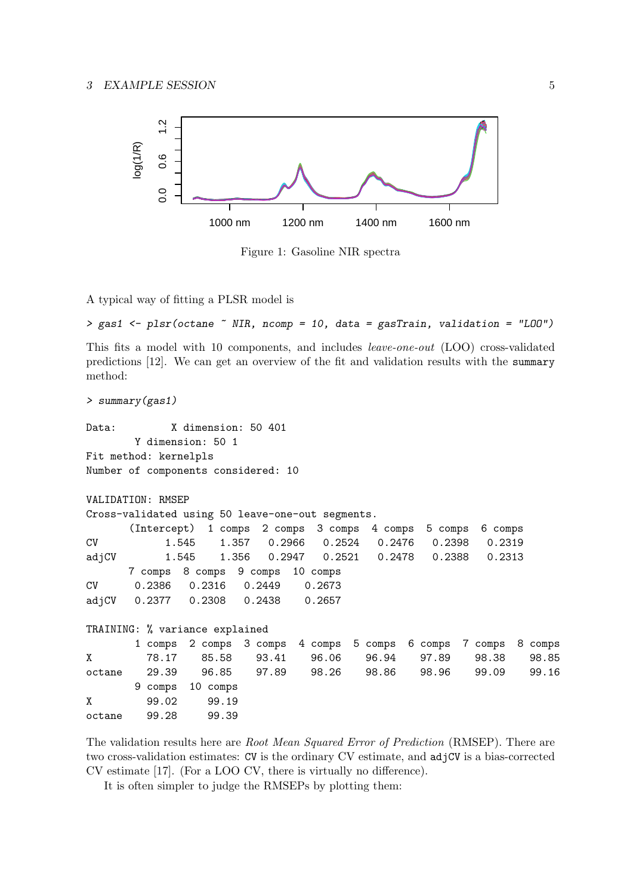

Figure 1: Gasoline NIR spectra

A typical way of fitting a PLSR model is

```
> gas1 <- plsr(octane ~ NIR, ncomp = 10, data = gasTrain, validation = "LOO")
```
This fits a model with 10 components, and includes leave-one-out (LOO) cross-validated predictions [12]. We can get an overview of the fit and validation results with the summary method:

```
> summary(gas1)
Data: X dimension: 50 401
        Y dimension: 50 1
Fit method: kernelpls
Number of components considered: 10
VALIDATION: RMSEP
Cross-validated using 50 leave-one-out segments.
```

|           |                                   |       |  | (Intercept) 1 comps 2 comps 3 comps 4 comps 5 comps 6 comps |  |  |
|-----------|-----------------------------------|-------|--|-------------------------------------------------------------|--|--|
| <b>CV</b> |                                   | 1.545 |  | 1.357  0.2966  0.2524  0.2476  0.2398  0.2319               |  |  |
|           |                                   |       |  | adjCV 1.545 1.356 0.2947 0.2521 0.2478 0.2388 0.2313        |  |  |
|           | 7 comps 8 comps 9 comps 10 comps  |       |  |                                                             |  |  |
|           | CV 0.2386 0.2316 0.2449 0.2673    |       |  |                                                             |  |  |
|           | adjCV 0.2377 0.2308 0.2438 0.2657 |       |  |                                                             |  |  |

```
TRAINING: % variance explained
```

|        |       | 1 comps 2 comps 3 comps 4 comps 5 comps 6 comps 7 comps 8 comps |       |       |              |       |       |
|--------|-------|-----------------------------------------------------------------|-------|-------|--------------|-------|-------|
|        | 78.17 | 85.58                                                           | 93.41 | 96.06 | 96.94 97.89  | 98.38 | 98.85 |
| octane | 29.39 | 96.85  97.89  98.26                                             |       |       | 98.86  98.96 | 99.09 | 99.16 |
|        |       | 9 comps 10 comps                                                |       |       |              |       |       |
| X      | 99.02 | 99.19                                                           |       |       |              |       |       |
| octane | 99.28 | 99.39                                                           |       |       |              |       |       |

The validation results here are Root Mean Squared Error of Prediction (RMSEP). There are two cross-validation estimates: CV is the ordinary CV estimate, and  $adjCV$  is a bias-corrected CV estimate [17]. (For a LOO CV, there is virtually no difference).

It is often simpler to judge the RMSEPs by plotting them: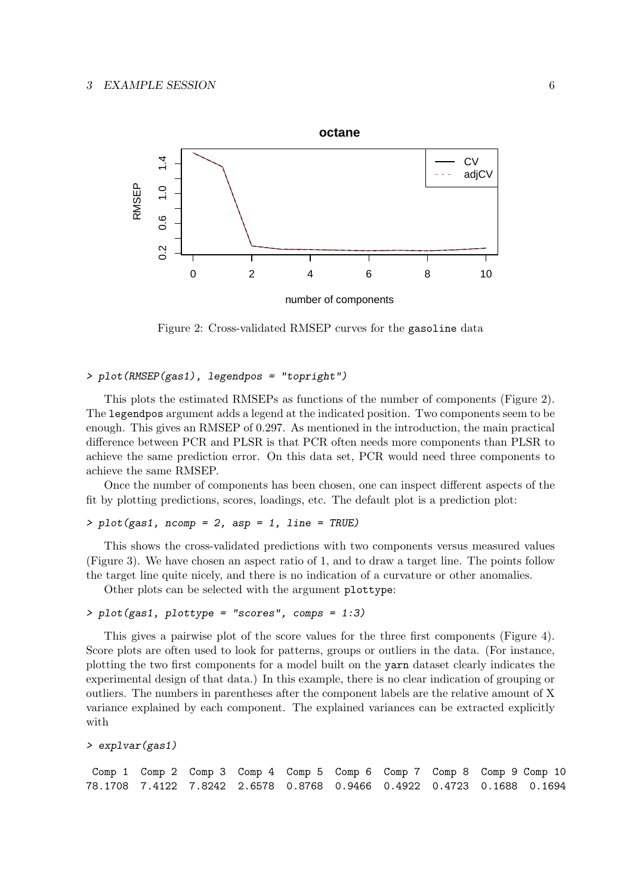

Figure 2: Cross-validated RMSEP curves for the gasoline data

### > plot(RMSEP(gas1), legendpos = "topright")

This plots the estimated RMSEPs as functions of the number of components (Figure 2). The legendpos argument adds a legend at the indicated position. Two components seem to be enough. This gives an RMSEP of 0.297. As mentioned in the introduction, the main practical difference between PCR and PLSR is that PCR often needs more components than PLSR to achieve the same prediction error. On this data set, PCR would need three components to achieve the same RMSEP.

Once the number of components has been chosen, one can inspect different aspects of the fit by plotting predictions, scores, loadings, etc. The default plot is a prediction plot:

# > plot(gas1, ncomp = 2, asp = 1, line = TRUE)

This shows the cross-validated predictions with two components versus measured values (Figure 3). We have chosen an aspect ratio of 1, and to draw a target line. The points follow the target line quite nicely, and there is no indication of a curvature or other anomalies.

Other plots can be selected with the argument plottype:

# > plot(gas1, plottype = "scores", comps = 1:3)

This gives a pairwise plot of the score values for the three first components (Figure 4). Score plots are often used to look for patterns, groups or outliers in the data. (For instance, plotting the two first components for a model built on the yarn dataset clearly indicates the experimental design of that data.) In this example, there is no clear indication of grouping or outliers. The numbers in parentheses after the component labels are the relative amount of X variance explained by each component. The explained variances can be extracted explicitly with

```
> explvar(gas1)
```
Comp 1 Comp 2 Comp 3 Comp 4 Comp 5 Comp 6 Comp 7 Comp 8 Comp 9 Comp 10 78.1708 7.4122 7.8242 2.6578 0.8768 0.9466 0.4922 0.4723 0.1688 0.1694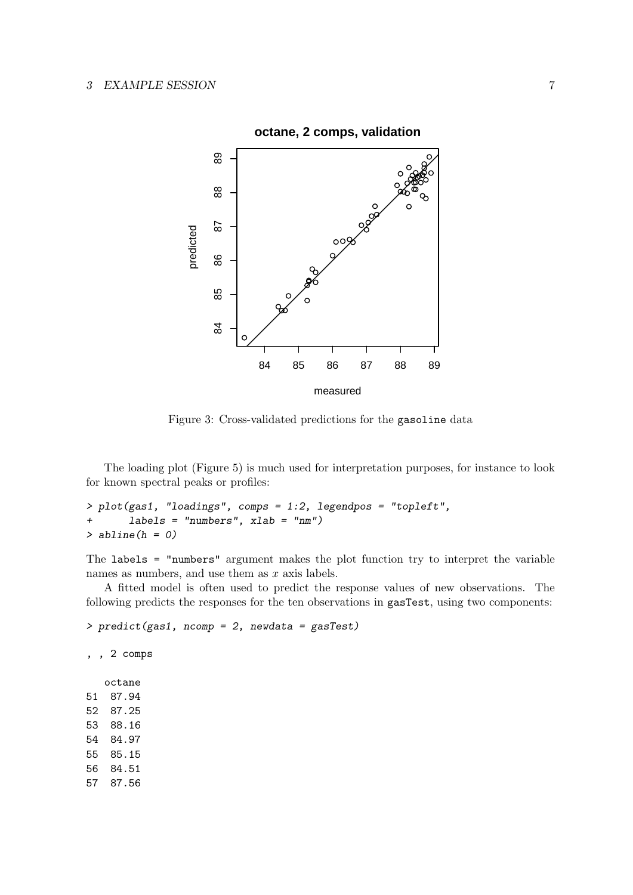

Figure 3: Cross-validated predictions for the gasoline data

The loading plot (Figure 5) is much used for interpretation purposes, for instance to look for known spectral peaks or profiles:

```
> plot(gas1, "loadings", comps = 1:2, legendpos = "topleft",
+ labels = "numbers", xlab = "nm")
> abline(h = 0)
```
The labels = "numbers" argument makes the plot function try to interpret the variable names as numbers, and use them as  $x$  axis labels.

A fitted model is often used to predict the response values of new observations. The following predicts the responses for the ten observations in gasTest, using two components:

> predict(gas1, ncomp = 2, newdata = gasTest)

, , 2 comps

octane 51 87.94 52 87.25 53 88.16 54 84.97 55 85.15 56 84.51 57 87.56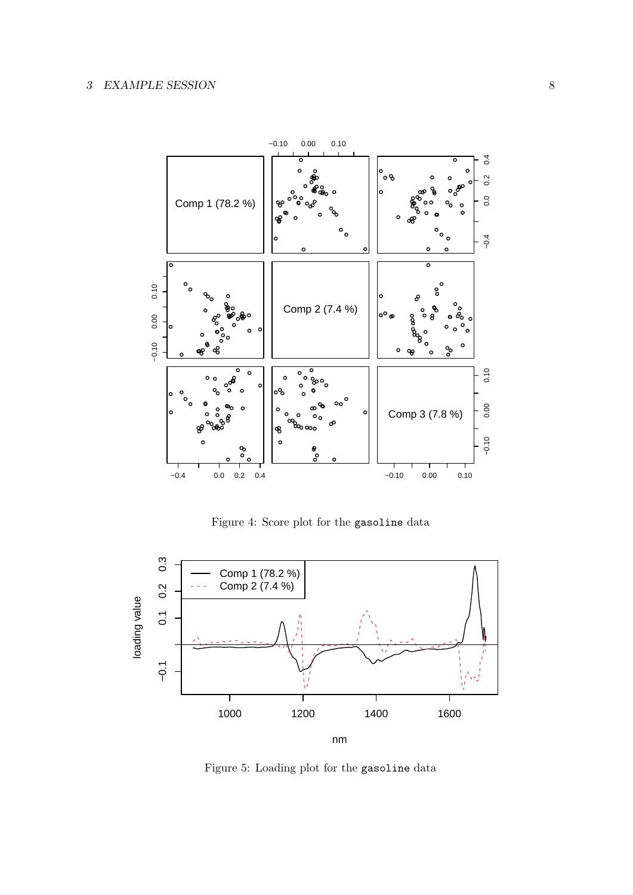

Figure 4: Score plot for the gasoline data



Figure 5: Loading plot for the gasoline data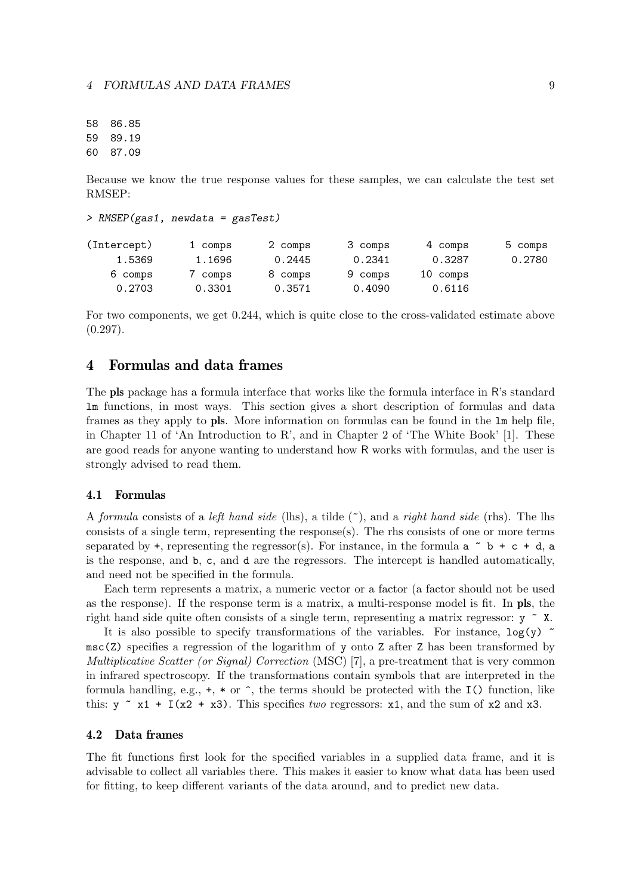58 86.85 59 89.19 60 87.09

Because we know the true response values for these samples, we can calculate the test set RMSEP:

```
> RMSEP(gas1, newdata = gasTest)
```

| (Intercept) | 1 comps | 2 comps | 3 comps | 4 comps  | 5 comps |
|-------------|---------|---------|---------|----------|---------|
| 1.5369      | 1.1696  | 0.2445  | 0.2341  | 0.3287   | 0.2780  |
| 6 comps     | 7 comps | 8 comps | 9 comps | 10 comps |         |
| 0.2703      | 0.3301  | 0.3571  | 0.4090  | 0.6116   |         |

For two components, we get 0.244, which is quite close to the cross-validated estimate above  $(0.297).$ 

# 4 Formulas and data frames

The pls package has a formula interface that works like the formula interface in R's standard lm functions, in most ways. This section gives a short description of formulas and data frames as they apply to pls. More information on formulas can be found in the lm help file, in Chapter 11 of 'An Introduction to R', and in Chapter 2 of 'The White Book' [1]. These are good reads for anyone wanting to understand how R works with formulas, and the user is strongly advised to read them.

#### 4.1 Formulas

A formula consists of a left hand side (lhs), a tilde  $(\tilde{\phantom{a}})$ , and a right hand side (rhs). The lhs consists of a single term, representing the response(s). The rhs consists of one or more terms separated by +, representing the regressor(s). For instance, in the formula  $a \tilde{b} + c + d$ , a is the response, and b, c, and d are the regressors. The intercept is handled automatically, and need not be specified in the formula.

Each term represents a matrix, a numeric vector or a factor (a factor should not be used as the response). If the response term is a matrix, a multi-response model is fit. In pls, the right hand side quite often consists of a single term, representing a matrix regressor:  $y \sim x$ .

It is also possible to specify transformations of the variables. For instance,  $log(y)$  $\text{msc}(Z)$  specifies a regression of the logarithm of y onto Z after Z has been transformed by Multiplicative Scatter (or Signal) Correction (MSC) [7], a pre-treatment that is very common in infrared spectroscopy. If the transformations contain symbols that are interpreted in the formula handling, e.g.,  $+, *$  or  $\hat{ }$ , the terms should be protected with the I() function, like this:  $y \sim x1 + I(x2 + x3)$ . This specifies two regressors: x1, and the sum of x2 and x3.

### 4.2 Data frames

The fit functions first look for the specified variables in a supplied data frame, and it is advisable to collect all variables there. This makes it easier to know what data has been used for fitting, to keep different variants of the data around, and to predict new data.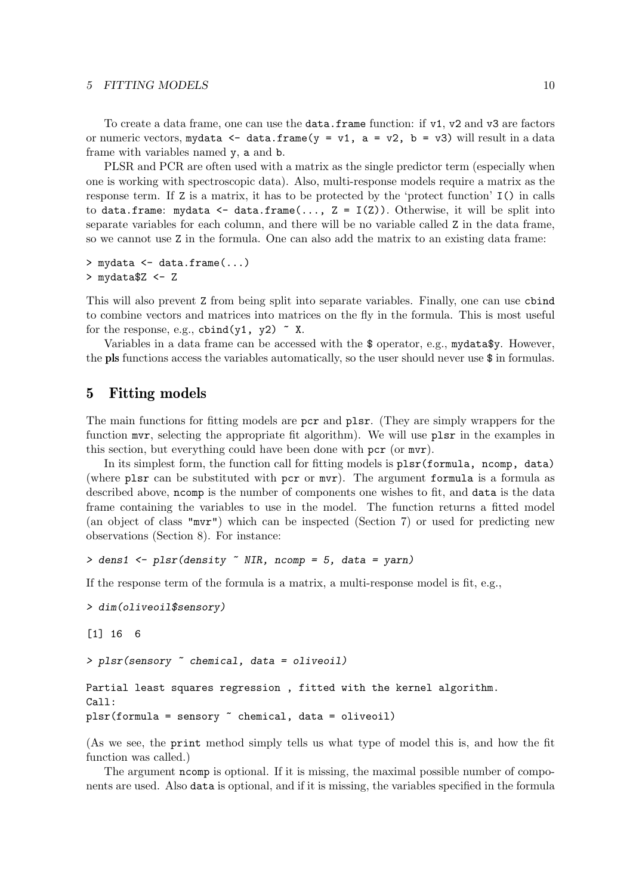#### 5 FITTING MODELS 10

To create a data frame, one can use the **data.frame** function: if v1, v2 and v3 are factors or numeric vectors, mydata  $\leq$  data.frame(y = v1, a = v2, b = v3) will result in a data frame with variables named y, a and b.

PLSR and PCR are often used with a matrix as the single predictor term (especially when one is working with spectroscopic data). Also, multi-response models require a matrix as the response term. If Z is a matrix, it has to be protected by the 'protect function' I() in calls to data.frame: mydata  $\leq$  data.frame $(\ldots, Z = I(Z))$ . Otherwise, it will be split into separate variables for each column, and there will be no variable called Z in the data frame, so we cannot use Z in the formula. One can also add the matrix to an existing data frame:

```
> mydata <- data.frame(...)
> mydata$Z <- Z
```
This will also prevent Z from being split into separate variables. Finally, one can use cbind to combine vectors and matrices into matrices on the fly in the formula. This is most useful for the response, e.g.,  $\text{cbind}(y1, y2)$   $\tilde{X}$ .

Variables in a data frame can be accessed with the \$ operator, e.g., mydata\$y. However, the pls functions access the variables automatically, so the user should never use  $\hat{\phi}$  in formulas.

# 5 Fitting models

The main functions for fitting models are pcr and plsr. (They are simply wrappers for the function mvr, selecting the appropriate fit algorithm). We will use plsr in the examples in this section, but everything could have been done with pcr (or mvr).

In its simplest form, the function call for fitting models is plsr(formula, ncomp, data) (where plsr can be substituted with pcr or mvr). The argument formula is a formula as described above, ncomp is the number of components one wishes to fit, and data is the data frame containing the variables to use in the model. The function returns a fitted model (an object of class "mvr") which can be inspected (Section 7) or used for predicting new observations (Section 8). For instance:

> dens1 <- plsr(density ~ NIR, ncomp = 5, data = yarn)

If the response term of the formula is a matrix, a multi-response model is fit, e.g.,

```
> dim(oliveoil$sensory)
```
[1] 16 6

> plsr(sensory ~ chemical, data = oliveoil)

Partial least squares regression , fitted with the kernel algorithm. Call: plsr(formula = sensory ~ chemical, data = oliveoil)

(As we see, the print method simply tells us what type of model this is, and how the fit function was called.)

The argument ncomp is optional. If it is missing, the maximal possible number of components are used. Also data is optional, and if it is missing, the variables specified in the formula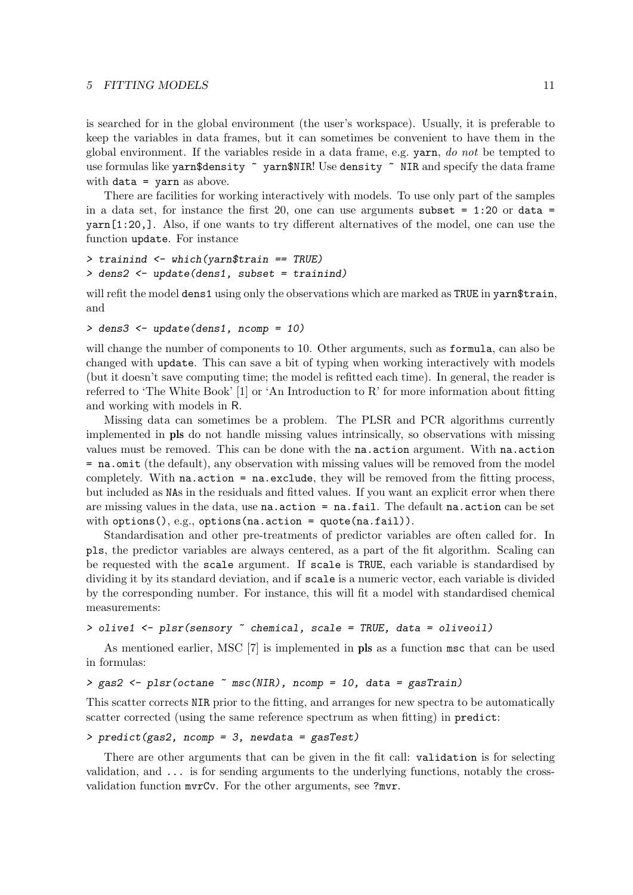#### 5 FITTING MODELS 11

is searched for in the global environment (the user's workspace). Usually, it is preferable to keep the variables in data frames, but it can sometimes be convenient to have them in the global environment. If the variables reside in a data frame, e.g. yarn, do not be tempted to use formulas like yarn\$density ~ yarn\$NIR! Use density ~ NIR and specify the data frame with  $data = varn$  as above.

There are facilities for working interactively with models. To use only part of the samples in a data set, for instance the first 20, one can use arguments subset  $= 1:20$  or data  $=$ yarn[1:20,]. Also, if one wants to try different alternatives of the model, one can use the function update. For instance

```
> trainind <- which(yarn$train == TRUE)
> dens2 <- update(dens1, subset = trainind)
```
will refit the model dens1 using only the observations which are marked as TRUE in yarn\$train, and

```
> dens3 <- update(dens1, ncomp = 10)
```
will change the number of components to 10. Other arguments, such as **formula**, can also be changed with update. This can save a bit of typing when working interactively with models (but it doesn't save computing time; the model is refitted each time). In general, the reader is referred to 'The White Book' [1] or 'An Introduction to R' for more information about fitting and working with models in R.

Missing data can sometimes be a problem. The PLSR and PCR algorithms currently implemented in pls do not handle missing values intrinsically, so observations with missing values must be removed. This can be done with the na.action argument. With na.action = na.omit (the default), any observation with missing values will be removed from the model completely. With na.action = na.exclude, they will be removed from the fitting process, but included as NAs in the residuals and fitted values. If you want an explicit error when there are missing values in the data, use na.action = na.fail. The default na.action can be set with options(), e.g., options(na.action = quote(na.fail)).

Standardisation and other pre-treatments of predictor variables are often called for. In pls, the predictor variables are always centered, as a part of the fit algorithm. Scaling can be requested with the scale argument. If scale is TRUE, each variable is standardised by dividing it by its standard deviation, and if scale is a numeric vector, each variable is divided by the corresponding number. For instance, this will fit a model with standardised chemical measurements:

```
> olive1 <- plsr(sensory ~ chemical, scale = TRUE, data = oliveoil)
```
As mentioned earlier, MSC [7] is implemented in pls as a function msc that can be used in formulas:

### > gas2 <- plsr(octane ~ msc(NIR), ncomp = 10, data = gasTrain)

This scatter corrects NIR prior to the fitting, and arranges for new spectra to be automatically scatter corrected (using the same reference spectrum as when fitting) in predict:

### > predict(gas2, ncomp = 3, newdata = gasTest)

There are other arguments that can be given in the fit call: validation is for selecting validation, and ... is for sending arguments to the underlying functions, notably the crossvalidation function mvrCv. For the other arguments, see ?mvr.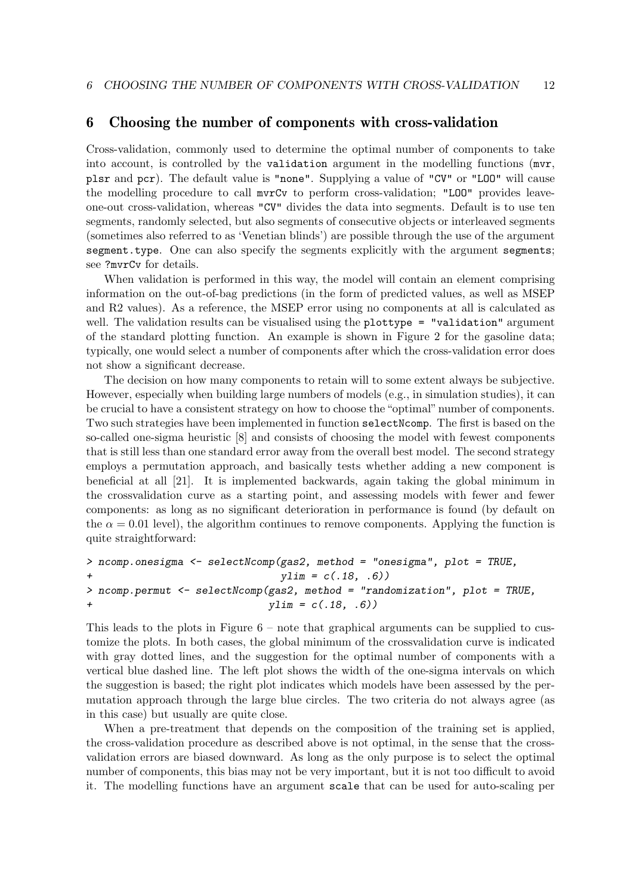# 6 Choosing the number of components with cross-validation

Cross-validation, commonly used to determine the optimal number of components to take into account, is controlled by the validation argument in the modelling functions (mvr, plsr and pcr). The default value is "none". Supplying a value of "CV" or "LOO" will cause the modelling procedure to call mvrCv to perform cross-validation; "LOO" provides leaveone-out cross-validation, whereas "CV" divides the data into segments. Default is to use ten segments, randomly selected, but also segments of consecutive objects or interleaved segments (sometimes also referred to as 'Venetian blinds') are possible through the use of the argument segment.type. One can also specify the segments explicitly with the argument segments; see ?mvrCv for details.

When validation is performed in this way, the model will contain an element comprising information on the out-of-bag predictions (in the form of predicted values, as well as MSEP and R2 values). As a reference, the MSEP error using no components at all is calculated as well. The validation results can be visualised using the plottype = "validation" argument of the standard plotting function. An example is shown in Figure 2 for the gasoline data; typically, one would select a number of components after which the cross-validation error does not show a significant decrease.

The decision on how many components to retain will to some extent always be subjective. However, especially when building large numbers of models (e.g., in simulation studies), it can be crucial to have a consistent strategy on how to choose the "optimal" number of components. Two such strategies have been implemented in function selectNcomp. The first is based on the so-called one-sigma heuristic [8] and consists of choosing the model with fewest components that is still less than one standard error away from the overall best model. The second strategy employs a permutation approach, and basically tests whether adding a new component is beneficial at all [21]. It is implemented backwards, again taking the global minimum in the crossvalidation curve as a starting point, and assessing models with fewer and fewer components: as long as no significant deterioration in performance is found (by default on the  $\alpha = 0.01$  level), the algorithm continues to remove components. Applying the function is quite straightforward:

```
> ncomp.onesigma <- selectNcomp(gas2, method = "onesigma", plot = TRUE,
+ ylim = c(.18, .6))> ncomp.permut <- selectNcomp(gas2, method = "randomization", plot = TRUE,
+ vlim = c(.18, .6))
```
This leads to the plots in Figure 6 – note that graphical arguments can be supplied to customize the plots. In both cases, the global minimum of the crossvalidation curve is indicated with gray dotted lines, and the suggestion for the optimal number of components with a vertical blue dashed line. The left plot shows the width of the one-sigma intervals on which the suggestion is based; the right plot indicates which models have been assessed by the permutation approach through the large blue circles. The two criteria do not always agree (as in this case) but usually are quite close.

When a pre-treatment that depends on the composition of the training set is applied, the cross-validation procedure as described above is not optimal, in the sense that the crossvalidation errors are biased downward. As long as the only purpose is to select the optimal number of components, this bias may not be very important, but it is not too difficult to avoid it. The modelling functions have an argument scale that can be used for auto-scaling per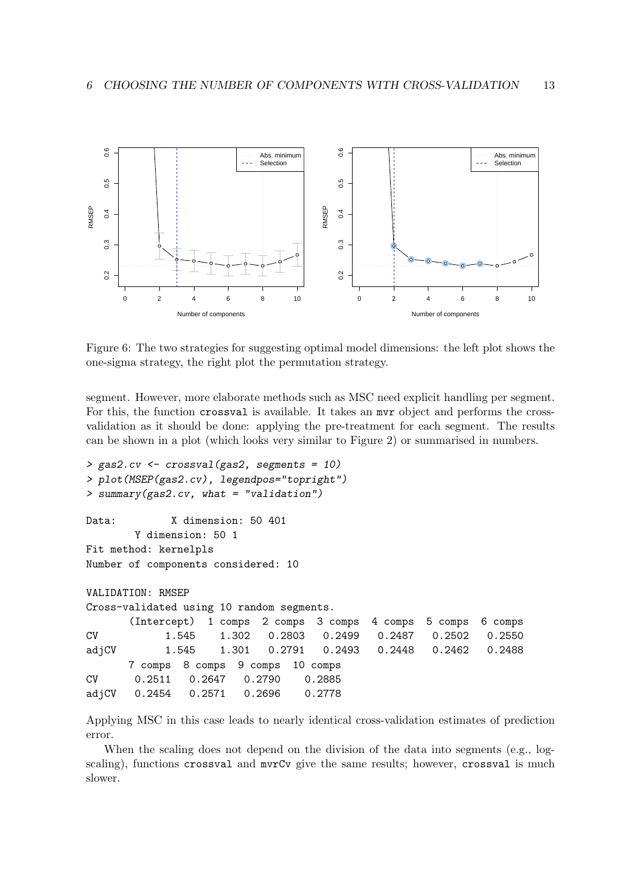

Figure 6: The two strategies for suggesting optimal model dimensions: the left plot shows the one-sigma strategy, the right plot the permutation strategy.

segment. However, more elaborate methods such as MSC need explicit handling per segment. For this, the function crossval is available. It takes an mvr object and performs the crossvalidation as it should be done: applying the pre-treatment for each segment. The results can be shown in a plot (which looks very similar to Figure 2) or summarised in numbers.

```
> gas2.cv <- crossval(gas2, segments = 10)
> plot(MSEP(gas2.cv), legendpos="topright")
> summary(gas2.cv, what = "validation")
Data: X dimension: 50 401
       Y dimension: 50 1
Fit method: kernelpls
Number of components considered: 10
VALIDATION: RMSEP
Cross-validated using 10 random segments.
      (Intercept) 1 comps 2 comps 3 comps 4 comps 5 comps 6 comps
CV 1.545 1.302 0.2803 0.2499 0.2487 0.2502 0.2550
adjCV 1.545 1.301 0.2791 0.2493 0.2448 0.2462 0.2488
      7 comps 8 comps 9 comps 10 comps
CV 0.2511 0.2647 0.2790 0.2885
adjCV 0.2454 0.2571 0.2696 0.2778
```
Applying MSC in this case leads to nearly identical cross-validation estimates of prediction error.

When the scaling does not depend on the division of the data into segments (e.g., logscaling), functions crossval and mvrCv give the same results; however, crossval is much slower.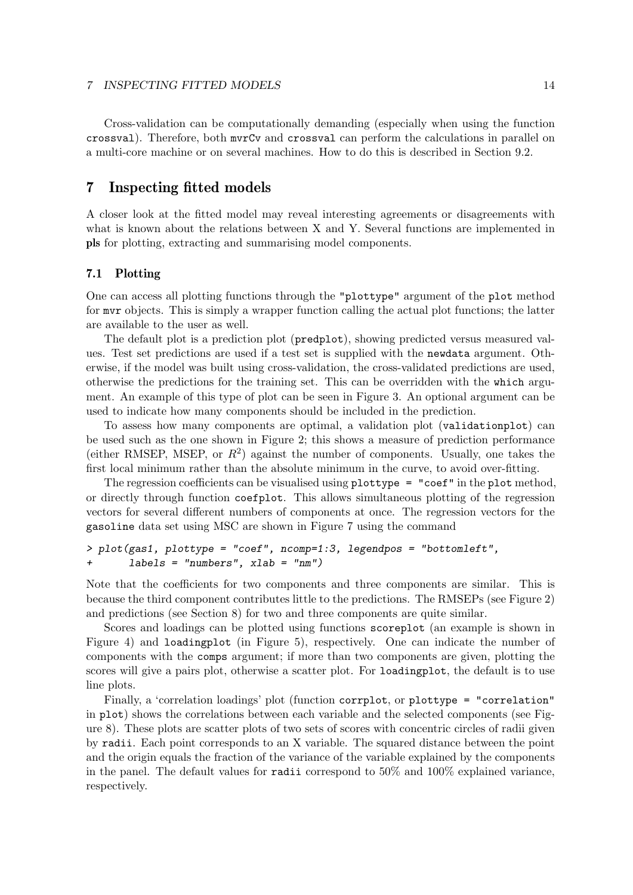#### 7 INSPECTING FITTED MODELS 14

Cross-validation can be computationally demanding (especially when using the function crossval). Therefore, both mvrCv and crossval can perform the calculations in parallel on a multi-core machine or on several machines. How to do this is described in Section 9.2.

# 7 Inspecting fitted models

A closer look at the fitted model may reveal interesting agreements or disagreements with what is known about the relations between X and Y. Several functions are implemented in pls for plotting, extracting and summarising model components.

### 7.1 Plotting

One can access all plotting functions through the "plottype" argument of the plot method for mvr objects. This is simply a wrapper function calling the actual plot functions; the latter are available to the user as well.

The default plot is a prediction plot (predplot), showing predicted versus measured values. Test set predictions are used if a test set is supplied with the newdata argument. Otherwise, if the model was built using cross-validation, the cross-validated predictions are used, otherwise the predictions for the training set. This can be overridden with the which argument. An example of this type of plot can be seen in Figure 3. An optional argument can be used to indicate how many components should be included in the prediction.

To assess how many components are optimal, a validation plot (validationplot) can be used such as the one shown in Figure 2; this shows a measure of prediction performance (either RMSEP, MSEP, or  $R^2$ ) against the number of components. Usually, one takes the first local minimum rather than the absolute minimum in the curve, to avoid over-fitting.

The regression coefficients can be visualised using plottype = "coef" in the plot method, or directly through function coefplot. This allows simultaneous plotting of the regression vectors for several different numbers of components at once. The regression vectors for the gasoline data set using MSC are shown in Figure 7 using the command

```
> plot(gas1, plottype = "coef", ncomp=1:3, legendpos = "bottomleft",
+ labels = "numbers", xlab = "nm")
```
Note that the coefficients for two components and three components are similar. This is because the third component contributes little to the predictions. The RMSEPs (see Figure 2) and predictions (see Section 8) for two and three components are quite similar.

Scores and loadings can be plotted using functions scoreplot (an example is shown in Figure 4) and loadingplot (in Figure 5), respectively. One can indicate the number of components with the comps argument; if more than two components are given, plotting the scores will give a pairs plot, otherwise a scatter plot. For loadingplot, the default is to use line plots.

Finally, a 'correlation loadings' plot (function corrplot, or plottype = "correlation" in plot) shows the correlations between each variable and the selected components (see Figure 8). These plots are scatter plots of two sets of scores with concentric circles of radii given by radii. Each point corresponds to an X variable. The squared distance between the point and the origin equals the fraction of the variance of the variable explained by the components in the panel. The default values for radii correspond to 50% and 100% explained variance, respectively.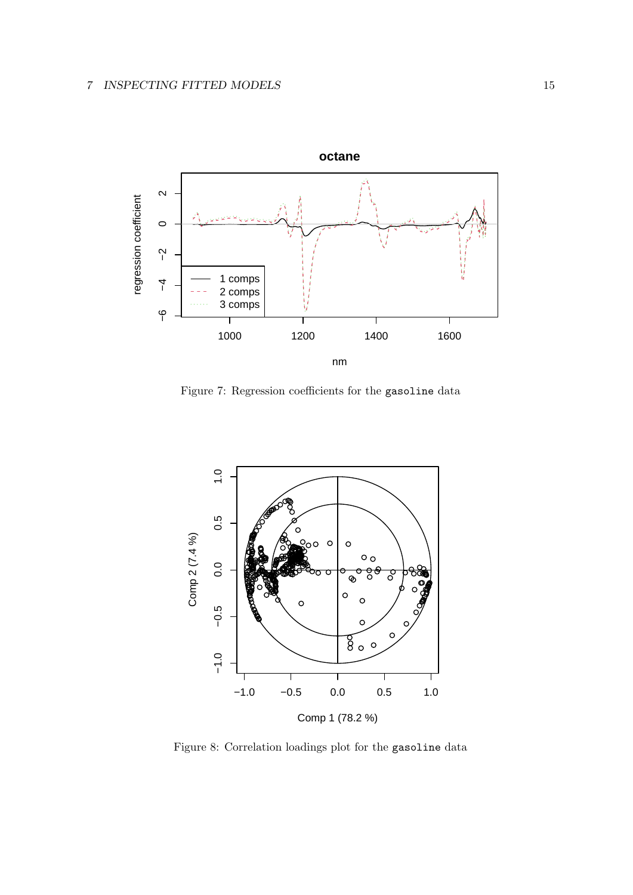

Figure 7: Regression coefficients for the gasoline data



Figure 8: Correlation loadings plot for the gasoline data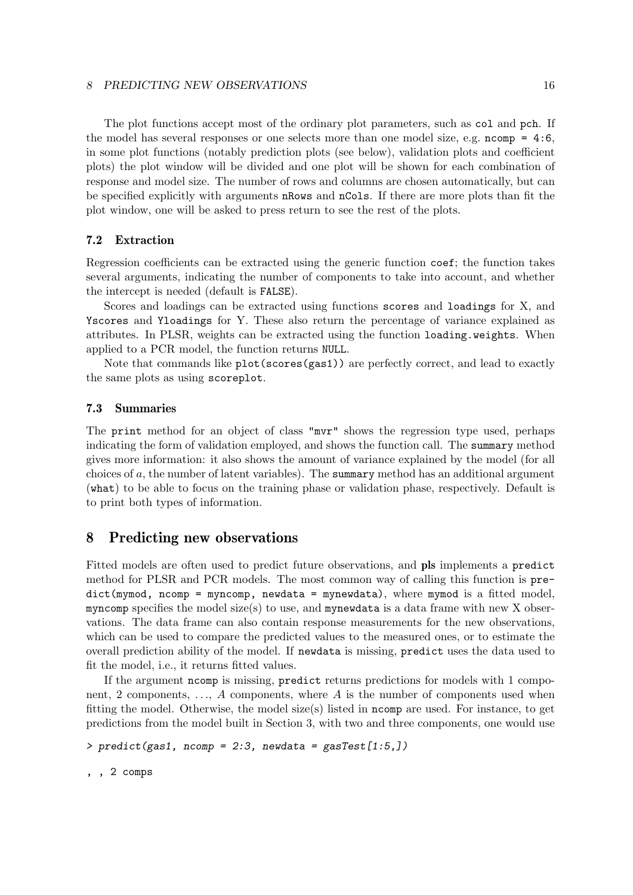#### 8 PREDICTING NEW OBSERVATIONS 16

The plot functions accept most of the ordinary plot parameters, such as col and pch. If the model has several responses or one selects more than one model size, e.g.  $ncomp = 4:6$ , in some plot functions (notably prediction plots (see below), validation plots and coefficient plots) the plot window will be divided and one plot will be shown for each combination of response and model size. The number of rows and columns are chosen automatically, but can be specified explicitly with arguments nRows and nCols. If there are more plots than fit the plot window, one will be asked to press return to see the rest of the plots.

### 7.2 Extraction

Regression coefficients can be extracted using the generic function coef; the function takes several arguments, indicating the number of components to take into account, and whether the intercept is needed (default is FALSE).

Scores and loadings can be extracted using functions scores and loadings for X, and Yscores and Yloadings for Y. These also return the percentage of variance explained as attributes. In PLSR, weights can be extracted using the function loading.weights. When applied to a PCR model, the function returns NULL.

Note that commands like plot(scores(gas1)) are perfectly correct, and lead to exactly the same plots as using scoreplot.

### 7.3 Summaries

The print method for an object of class "mvr" shows the regression type used, perhaps indicating the form of validation employed, and shows the function call. The summary method gives more information: it also shows the amount of variance explained by the model (for all choices of a, the number of latent variables). The summary method has an additional argument (what) to be able to focus on the training phase or validation phase, respectively. Default is to print both types of information.

# 8 Predicting new observations

Fitted models are often used to predict future observations, and pls implements a predict method for PLSR and PCR models. The most common way of calling this function is predict(mymod, ncomp = myncomp, newdata = mynewdata), where mymod is a fitted model, myncomp specifies the model size(s) to use, and mynewdata is a data frame with new  $X$  observations. The data frame can also contain response measurements for the new observations, which can be used to compare the predicted values to the measured ones, or to estimate the overall prediction ability of the model. If newdata is missing, predict uses the data used to fit the model, i.e., it returns fitted values.

If the argument ncomp is missing, predict returns predictions for models with 1 component, 2 components, ..., A components, where A is the number of components used when fitting the model. Otherwise, the model size(s) listed in ncomp are used. For instance, to get predictions from the model built in Section 3, with two and three components, one would use

>  $predict(gas1, ncomp = 2:3, newdata = gasTest[1:5,])$ 

, , 2 comps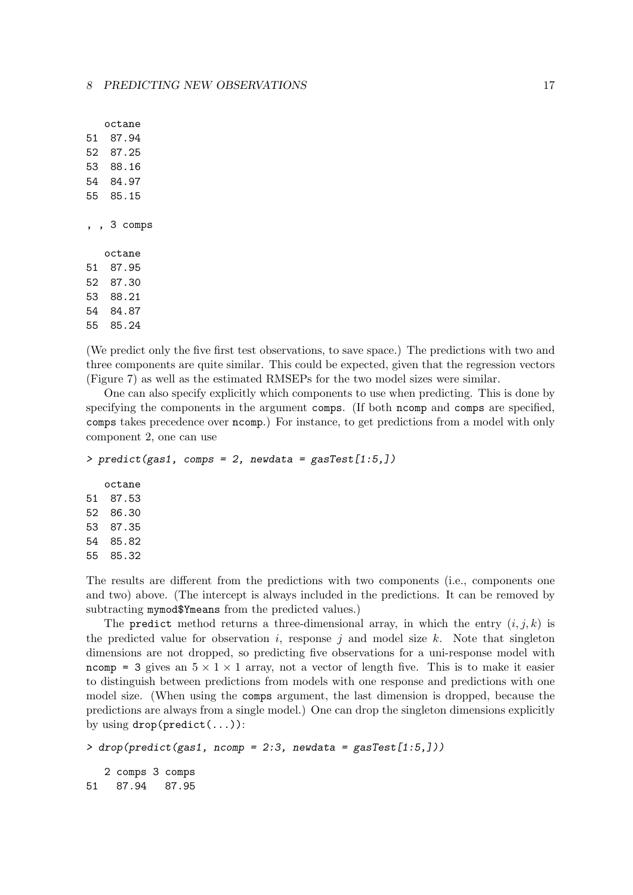octane 51 87.94 52 87.25 53 88.16 54 84.97 55 85.15 , , 3 comps octane 51 87.95 52 87.30 53 88.21 54 84.87 55 85.24

(We predict only the five first test observations, to save space.) The predictions with two and three components are quite similar. This could be expected, given that the regression vectors (Figure 7) as well as the estimated RMSEPs for the two model sizes were similar.

One can also specify explicitly which components to use when predicting. This is done by specifying the components in the argument comps. (If both ncomp and comps are specified, comps takes precedence over ncomp.) For instance, to get predictions from a model with only component 2, one can use

```
> predict(gas1, comps = 2, newdata = gasTest[1:5,])octane
51 87.53
52 86.30
53 87.35
54 85.82
55 85.32
```
The results are different from the predictions with two components (i.e., components one and two) above. (The intercept is always included in the predictions. It can be removed by subtracting mymod\$Ymeans from the predicted values.)

The predict method returns a three-dimensional array, in which the entry  $(i, j, k)$  is the predicted value for observation i, response j and model size  $k$ . Note that singleton dimensions are not dropped, so predicting five observations for a uni-response model with ncomp = 3 gives an  $5 \times 1 \times 1$  array, not a vector of length five. This is to make it easier to distinguish between predictions from models with one response and predictions with one model size. (When using the comps argument, the last dimension is dropped, because the predictions are always from a single model.) One can drop the singleton dimensions explicitly by using  $drop(predict(...))$ :

```
> drop(predict(gas1, ncomp = 2:3, newdata = gasTest[1:5,])2 comps 3 comps
51 87.94 87.95
```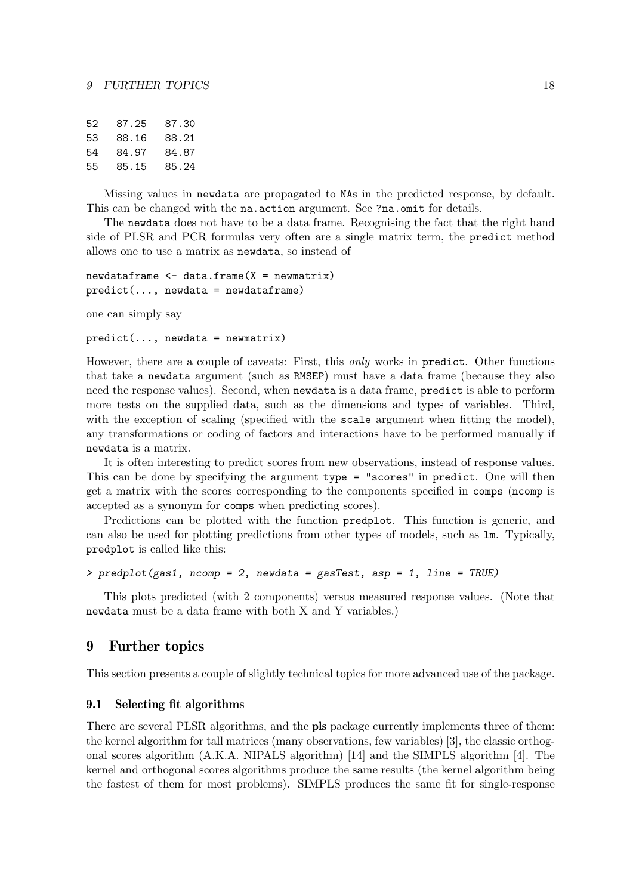| 52 | 87.25 | 87.30 |
|----|-------|-------|
| 53 | 88.16 | 88.21 |
| 54 | 84.97 | 84.87 |
| 55 | 85.15 | 85.24 |

Missing values in newdata are propagated to NAs in the predicted response, by default. This can be changed with the na.action argument. See ?na.omit for details.

The newdata does not have to be a data frame. Recognising the fact that the right hand side of PLSR and PCR formulas very often are a single matrix term, the predict method allows one to use a matrix as newdata, so instead of

```
newdataframe \leq data.frame(X = newmatrix)
predict(..., newdata = newdataframe)
```
one can simply say

```
predict(..., newdata = newmatrix)
```
However, there are a couple of caveats: First, this only works in predict. Other functions that take a newdata argument (such as RMSEP) must have a data frame (because they also need the response values). Second, when newdata is a data frame, predict is able to perform more tests on the supplied data, such as the dimensions and types of variables. Third, with the exception of scaling (specified with the scale argument when fitting the model), any transformations or coding of factors and interactions have to be performed manually if newdata is a matrix.

It is often interesting to predict scores from new observations, instead of response values. This can be done by specifying the argument type = "scores" in predict. One will then get a matrix with the scores corresponding to the components specified in comps (ncomp is accepted as a synonym for comps when predicting scores).

Predictions can be plotted with the function predplot. This function is generic, and can also be used for plotting predictions from other types of models, such as lm. Typically, predplot is called like this:

```
> predplot(gas1, ncomp = 2, newdata = gasTest, asp = 1, line = TRUE)
```
This plots predicted (with 2 components) versus measured response values. (Note that newdata must be a data frame with both X and Y variables.)

# 9 Further topics

This section presents a couple of slightly technical topics for more advanced use of the package.

# 9.1 Selecting fit algorithms

There are several PLSR algorithms, and the pls package currently implements three of them: the kernel algorithm for tall matrices (many observations, few variables) [3], the classic orthogonal scores algorithm (A.K.A. NIPALS algorithm) [14] and the SIMPLS algorithm [4]. The kernel and orthogonal scores algorithms produce the same results (the kernel algorithm being the fastest of them for most problems). SIMPLS produces the same fit for single-response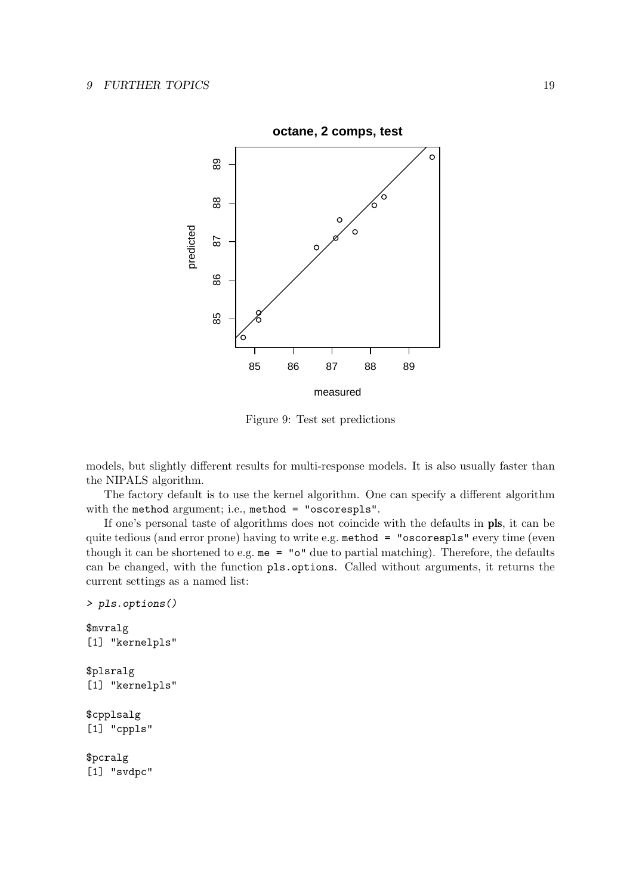

Figure 9: Test set predictions

models, but slightly different results for multi-response models. It is also usually faster than the NIPALS algorithm.

The factory default is to use the kernel algorithm. One can specify a different algorithm with the method argument; i.e., method = "oscorespls".

If one's personal taste of algorithms does not coincide with the defaults in pls, it can be quite tedious (and error prone) having to write e.g. method = "oscorespls" every time (even though it can be shortened to e.g.  $me = "o"$  due to partial matching). Therefore, the defaults can be changed, with the function pls.options. Called without arguments, it returns the current settings as a named list:

```
> pls.options()
$mvralg
[1] "kernelpls"
$plsralg
[1] "kernelpls"
$cpplsalg
[1] "cppls"
$pcralg
[1] "svdpc"
```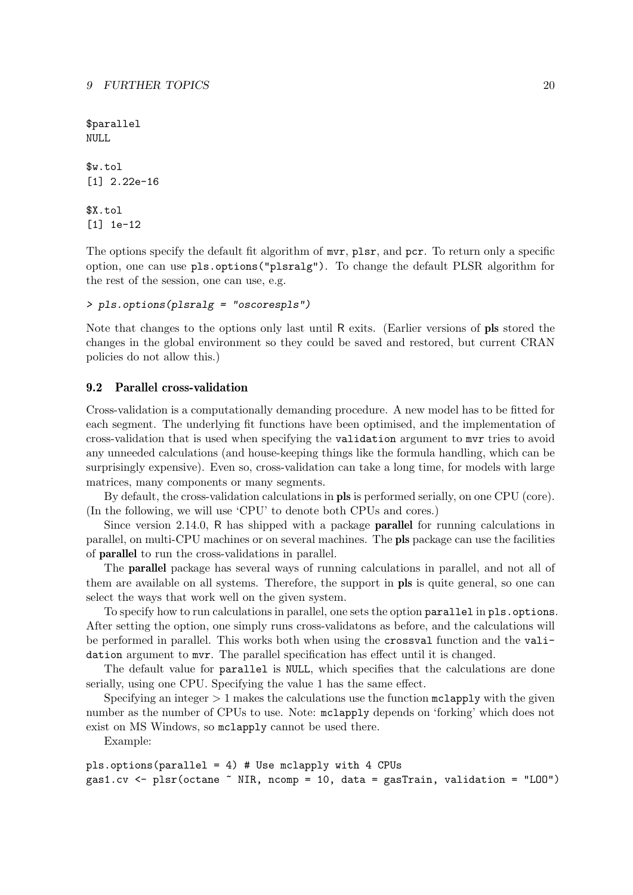\$parallel NULL

\$w.tol [1] 2.22e-16

\$X.tol [1] 1e-12

The options specify the default fit algorithm of  $mvr$ , plsr, and pcr. To return only a specific option, one can use pls.options("plsralg"). To change the default PLSR algorithm for the rest of the session, one can use, e.g.

```
> pls.options(plsralg = "oscorespls")
```
Note that changes to the options only last until R exits. (Earlier versions of pls stored the changes in the global environment so they could be saved and restored, but current CRAN policies do not allow this.)

### 9.2 Parallel cross-validation

Cross-validation is a computationally demanding procedure. A new model has to be fitted for each segment. The underlying fit functions have been optimised, and the implementation of cross-validation that is used when specifying the validation argument to mvr tries to avoid any unneeded calculations (and house-keeping things like the formula handling, which can be surprisingly expensive). Even so, cross-validation can take a long time, for models with large matrices, many components or many segments.

By default, the cross-validation calculations in pls is performed serially, on one CPU (core). (In the following, we will use 'CPU' to denote both CPUs and cores.)

Since version 2.14.0, R has shipped with a package parallel for running calculations in parallel, on multi-CPU machines or on several machines. The pls package can use the facilities of parallel to run the cross-validations in parallel.

The parallel package has several ways of running calculations in parallel, and not all of them are available on all systems. Therefore, the support in pls is quite general, so one can select the ways that work well on the given system.

To specify how to run calculations in parallel, one sets the option parallel in pls.options. After setting the option, one simply runs cross-validatons as before, and the calculations will be performed in parallel. This works both when using the crossval function and the validation argument to mvr. The parallel specification has effect until it is changed.

The default value for parallel is NULL, which specifies that the calculations are done serially, using one CPU. Specifying the value 1 has the same effect.

Specifying an integer  $> 1$  makes the calculations use the function  $\mathsf{mclapply}$  with the given number as the number of CPUs to use. Note: mclapply depends on 'forking' which does not exist on MS Windows, so mclapply cannot be used there.

Example:

```
pls.options(parallel = 4) # Use mclapply with 4 CPUs
gas1.cv <- plsr(octane \tilde{ } NIR, ncomp = 10, data = gasTrain, validation = "LOO")
```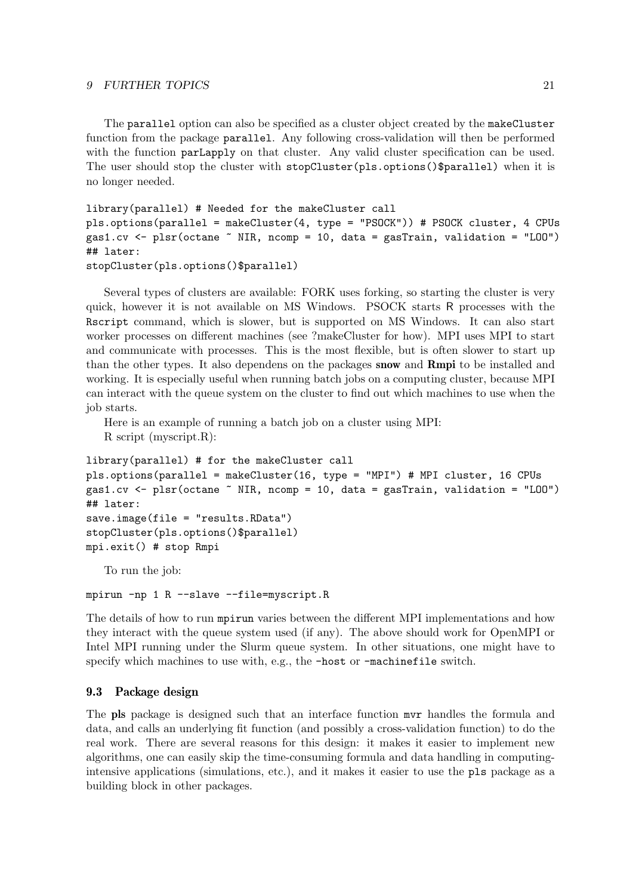#### 9 FURTHER TOPICS 21

The parallel option can also be specified as a cluster object created by the makeCluster function from the package parallel. Any following cross-validation will then be performed with the function parLapply on that cluster. Any valid cluster specification can be used. The user should stop the cluster with stopCluster(pls.options()\$parallel) when it is no longer needed.

```
library(parallel) # Needed for the makeCluster call
pls.options(parallel = makeCluster(4, type = "PSOCK")) # PSOCK cluster, 4 CPUs
gas1.cv <- plsr(octane \tilde{ } NIR, ncomp = 10, data = gasTrain, validation = "LOO")
## later:
stopCluster(pls.options()$parallel)
```
Several types of clusters are available: FORK uses forking, so starting the cluster is very quick, however it is not available on MS Windows. PSOCK starts R processes with the Rscript command, which is slower, but is supported on MS Windows. It can also start worker processes on different machines (see ?makeCluster for how). MPI uses MPI to start and communicate with processes. This is the most flexible, but is often slower to start up than the other types. It also dependens on the packages snow and Rmpi to be installed and working. It is especially useful when running batch jobs on a computing cluster, because MPI can interact with the queue system on the cluster to find out which machines to use when the job starts.

Here is an example of running a batch job on a cluster using MPI:

R script (myscript.R):

```
library(parallel) # for the makeCluster call
pls.options(parallel = makeCluster(16, type = "MPI") # MPI cluster, 16 CPUs
gas1.cv <- plsr(octane ~ NIR, ncomp = 10, data = gasTrain, validation = "LOO")
## later:
save.image(file = "results.RData")
stopCluster(pls.options()$parallel)
mpi.exit() # stop Rmpi
```
To run the job:

mpirun -np 1 R --slave --file=myscript.R

The details of how to run mpirun varies between the different MPI implementations and how they interact with the queue system used (if any). The above should work for OpenMPI or Intel MPI running under the Slurm queue system. In other situations, one might have to specify which machines to use with, e.g., the -host or -machinefile switch.

### 9.3 Package design

The pls package is designed such that an interface function mvr handles the formula and data, and calls an underlying fit function (and possibly a cross-validation function) to do the real work. There are several reasons for this design: it makes it easier to implement new algorithms, one can easily skip the time-consuming formula and data handling in computingintensive applications (simulations, etc.), and it makes it easier to use the pls package as a building block in other packages.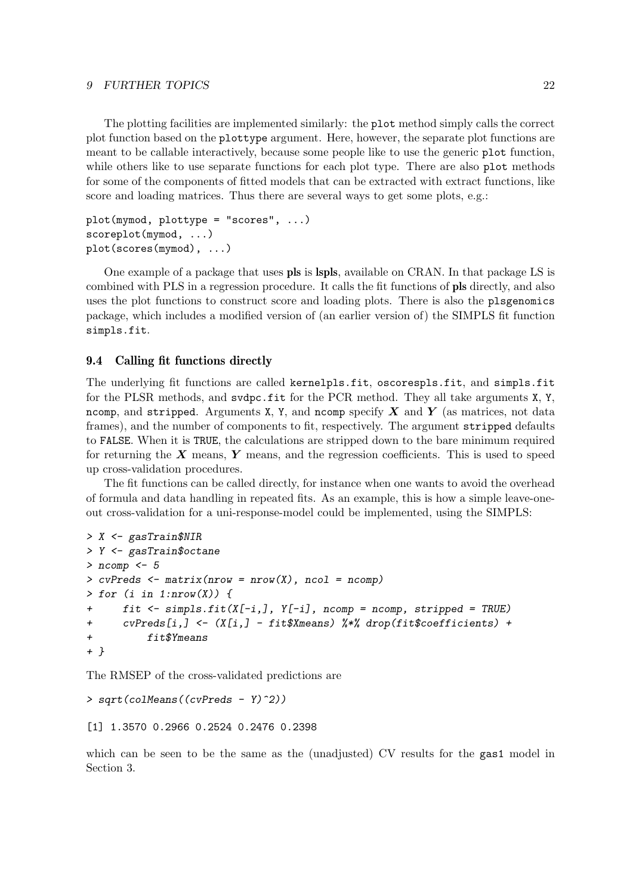#### 9 FURTHER TOPICS 22

The plotting facilities are implemented similarly: the plot method simply calls the correct plot function based on the plottype argument. Here, however, the separate plot functions are meant to be callable interactively, because some people like to use the generic plot function, while others like to use separate functions for each plot type. There are also plot methods for some of the components of fitted models that can be extracted with extract functions, like score and loading matrices. Thus there are several ways to get some plots, e.g.:

```
plot(mymod, plottype = "scores", ...)
scoreplot(mymod, ...)
plot(scores(mymod), ...)
```
One example of a package that uses pls is lspls, available on CRAN. In that package LS is combined with PLS in a regression procedure. It calls the fit functions of pls directly, and also uses the plot functions to construct score and loading plots. There is also the plsgenomics package, which includes a modified version of (an earlier version of) the SIMPLS fit function simpls.fit.

### 9.4 Calling fit functions directly

The underlying fit functions are called kernelpls.fit, oscorespls.fit, and simpls.fit for the PLSR methods, and svdpc.fit for the PCR method. They all take arguments X, Y, ncomp, and stripped. Arguments X, Y, and ncomp specify  $X$  and  $Y$  (as matrices, not data frames), and the number of components to fit, respectively. The argument stripped defaults to FALSE. When it is TRUE, the calculations are stripped down to the bare minimum required for returning the  $X$  means,  $Y$  means, and the regression coefficients. This is used to speed up cross-validation procedures.

The fit functions can be called directly, for instance when one wants to avoid the overhead of formula and data handling in repeated fits. As an example, this is how a simple leave-oneout cross-validation for a uni-response-model could be implemented, using the SIMPLS:

```
> X <- gasTrain$NIR
> Y <- gasTrain$octane
> ncomp \leq 5> cvPreds \leq matrix(nrow = nrow(X), ncol = ncomp)
> for (i in 1:nrow(X)) {
+ fit <- simpls.fit(X[-i,], Y[-i], ncomp = ncomp, stripped = TRUE)
+ cvPreds[i,] <- (X[i,] - fit$Xmeans) %*% drop(fit$coefficients) +
          fit$Ymeans
+ }
```
The RMSEP of the cross-validated predictions are

```
> sqrt(colMeans((cvPreds - Y)^2))
```

```
[1] 1.3570 0.2966 0.2524 0.2476 0.2398
```
which can be seen to be the same as the (unadjusted) CV results for the gas1 model in Section 3.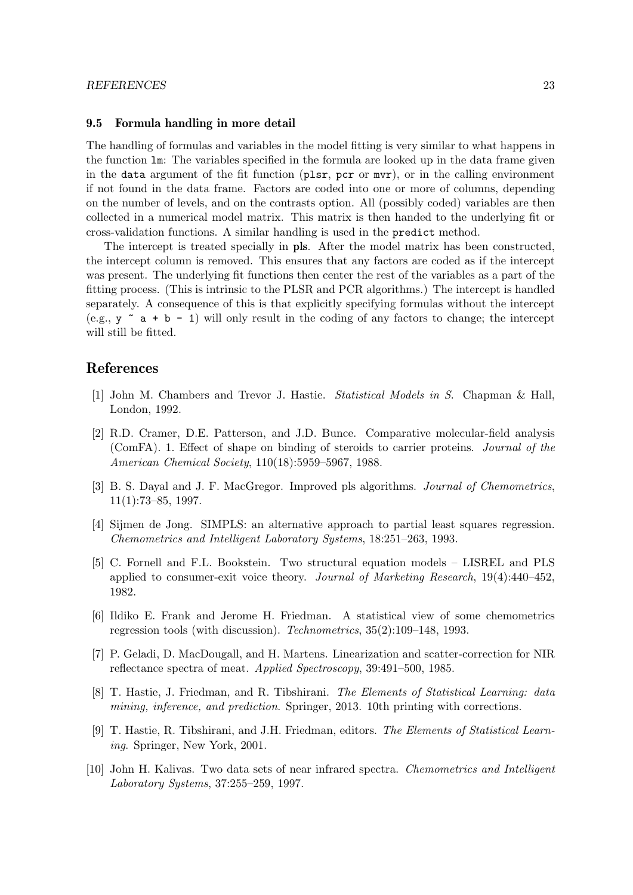### 9.5 Formula handling in more detail

The handling of formulas and variables in the model fitting is very similar to what happens in the function lm: The variables specified in the formula are looked up in the data frame given in the data argument of the fit function (plsr, pcr or mvr), or in the calling environment if not found in the data frame. Factors are coded into one or more of columns, depending on the number of levels, and on the contrasts option. All (possibly coded) variables are then collected in a numerical model matrix. This matrix is then handed to the underlying fit or cross-validation functions. A similar handling is used in the predict method.

The intercept is treated specially in pls. After the model matrix has been constructed, the intercept column is removed. This ensures that any factors are coded as if the intercept was present. The underlying fit functions then center the rest of the variables as a part of the fitting process. (This is intrinsic to the PLSR and PCR algorithms.) The intercept is handled separately. A consequence of this is that explicitly specifying formulas without the intercept (e.g.,  $y \sim a + b - 1$ ) will only result in the coding of any factors to change; the intercept will still be fitted.

# References

- [1] John M. Chambers and Trevor J. Hastie. Statistical Models in S. Chapman & Hall, London, 1992.
- [2] R.D. Cramer, D.E. Patterson, and J.D. Bunce. Comparative molecular-field analysis (ComFA). 1. Effect of shape on binding of steroids to carrier proteins. Journal of the American Chemical Society, 110(18):5959–5967, 1988.
- [3] B. S. Dayal and J. F. MacGregor. Improved pls algorithms. *Journal of Chemometrics*,  $11(1):73-85, 1997.$
- [4] Sijmen de Jong. SIMPLS: an alternative approach to partial least squares regression. Chemometrics and Intelligent Laboratory Systems, 18:251–263, 1993.
- [5] C. Fornell and F.L. Bookstein. Two structural equation models LISREL and PLS applied to consumer-exit voice theory. Journal of Marketing Research,  $19(4):440-452$ , 1982.
- [6] Ildiko E. Frank and Jerome H. Friedman. A statistical view of some chemometrics regression tools (with discussion). Technometrics, 35(2):109–148, 1993.
- [7] P. Geladi, D. MacDougall, and H. Martens. Linearization and scatter-correction for NIR reflectance spectra of meat. Applied Spectroscopy, 39:491–500, 1985.
- [8] T. Hastie, J. Friedman, and R. Tibshirani. The Elements of Statistical Learning: data mining, inference, and prediction. Springer, 2013. 10th printing with corrections.
- [9] T. Hastie, R. Tibshirani, and J.H. Friedman, editors. The Elements of Statistical Learning. Springer, New York, 2001.
- [10] John H. Kalivas. Two data sets of near infrared spectra. Chemometrics and Intelligent Laboratory Systems, 37:255–259, 1997.